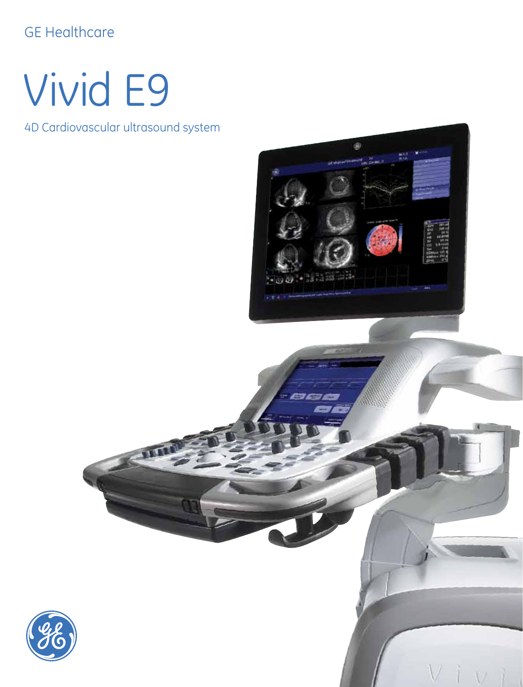#### GE Healthcare

## Vivid E9

4D Cardiovascular ultrasound system



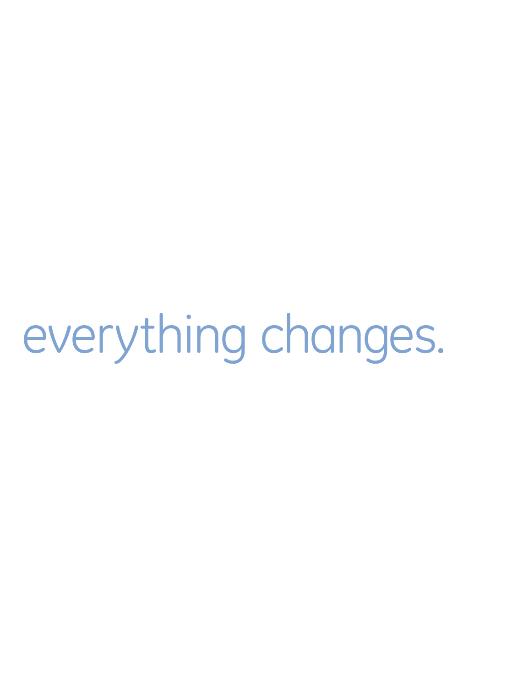In a heartbeat, everything changes.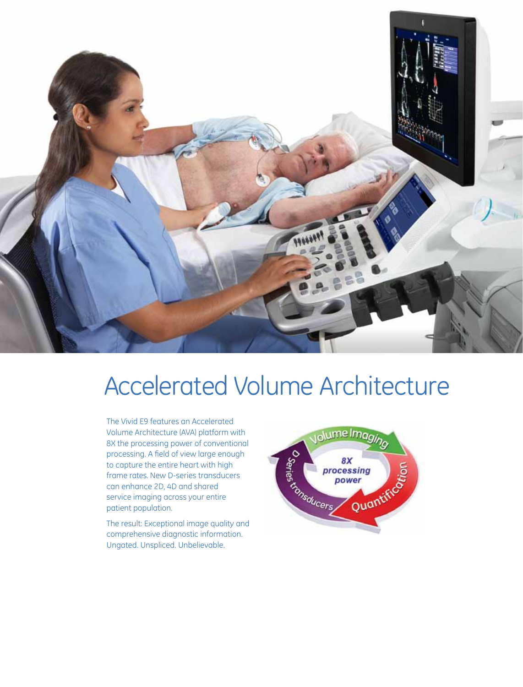

### Accelerated Volume Architecture

The Vivid E9 features an Accelerated Volume Architecture (AVA) platform with 8X the processing power of conventional processing. A field of view large enough to capture the entire heart with high frame rates. New D-series transducers can enhance 2D, 4D and shared service imaging across your entire patient population.

The result: Exceptional image quality and comprehensive diagnostic information. Ungated. Unspliced. Unbelievable.

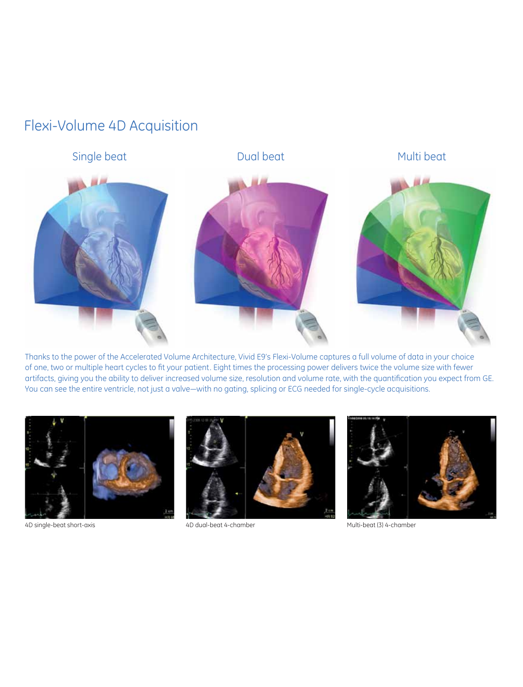#### Flexi-Volume 4D Acquisition



Thanks to the power of the Accelerated Volume Architecture, Vivid E9's Flexi-Volume captures a full volume of data in your choice of one, two or multiple heart cycles to fit your patient. Eight times the processing power delivers twice the volume size with fewer artifacts, giving you the ability to deliver increased volume size, resolution and volume rate, with the quantification you expect from GE. You can see the entire ventricle, not just a valve—with no gating, splicing or ECG needed for single-cycle acquisitions.



4D single-beat short-axis extending the AD dual-beat 4-chamber matches and multi-beat (3) 4-chamber



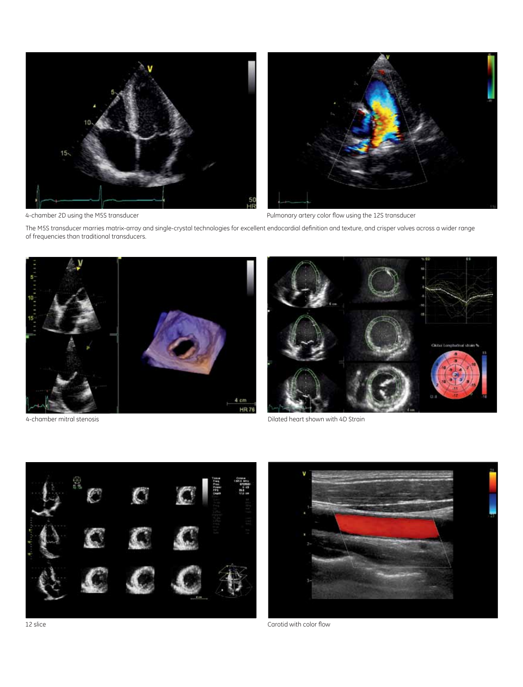



4-chamber 2D using the M5S transducer extending the M5S transducer Pulmonary artery color flow using the 12S transducer

The M5S transducer marries matrix-array and single-crystal technologies for excellent endocardial definition and texture, and crisper valves across a wider range of frequencies than traditional transducers.





4-chamber mitral stenosis Dilated heart shown with 4D Strain

![](_page_4_Picture_9.jpeg)

12 slice

Carotid with color flow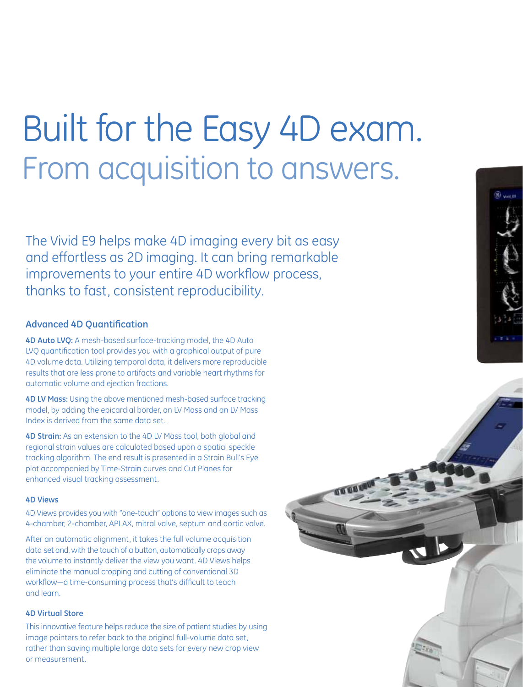## Built for the Easy 4D exam. From acquisition to answers.

The Vivid E9 helps make 4D imaging every bit as easy and effortless as 2D imaging. It can bring remarkable improvements to your entire 4D workflow process, thanks to fast, consistent reproducibility.

#### **Advanced 4D Quantification**

**4D Auto LVQ:** A mesh-based surface-tracking model, the 4D Auto LVQ quantification tool provides you with a graphical output of pure 4D volume data. Utilizing temporal data, it delivers more reproducible results that are less prone to artifacts and variable heart rhythms for automatic volume and ejection fractions.

**4D LV Mass:** Using the above mentioned mesh-based surface tracking model, by adding the epicardial border, an LV Mass and an LV Mass Index is derived from the same data set.

**4D Strain:** As an extension to the 4D LV Mass tool, both global and regional strain values are calculated based upon a spatial speckle tracking algorithm. The end result is presented in a Strain Bull's Eye plot accompanied by Time-Strain curves and Cut Planes for enhanced visual tracking assessment.

#### **4D Views**

4D Views provides you with "one-touch" options to view images such as 4-chamber, 2-chamber, APLAX, mitral valve, septum and aortic valve.

After an automatic alignment, it takes the full volume acquisition data set and, with the touch of a button, automatically crops away the volume to instantly deliver the view you want. 4D Views helps eliminate the manual cropping and cutting of conventional 3D workflow—a time-consuming process that's difficult to teach and learn.

#### **4D Virtual Store**

This innovative feature helps reduce the size of patient studies by using image pointers to refer back to the original full-volume data set, rather than saving multiple large data sets for every new crop view or measurement.

![](_page_5_Picture_11.jpeg)

![](_page_5_Picture_12.jpeg)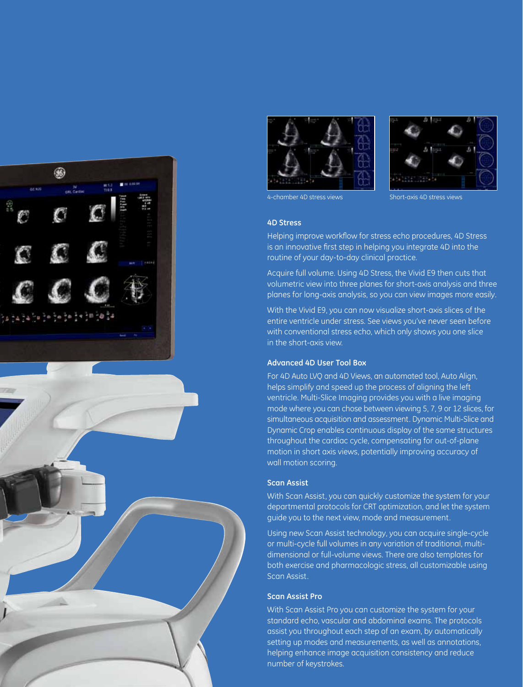![](_page_6_Picture_0.jpeg)

![](_page_6_Picture_1.jpeg)

![](_page_6_Picture_2.jpeg)

![](_page_6_Picture_3.jpeg)

4-chamber 4D stress views Short-axis 4D stress views

#### **4D Stress**

Helping improve workflow for stress echo procedures, 4D Stress is an innovative first step in helping you integrate 4D into the routine of your day-to-day clinical practice.

Acquire full volume. Using 4D Stress, the Vivid E9 then cuts that volumetric view into three planes for short-axis analysis and three planes for long-axis analysis, so you can view images more easily.

With the Vivid E9, you can now visualize short-axis slices of the entire ventricle under stress. See views you've never seen before with conventional stress echo, which only shows you one slice in the short-axis view.

#### **Advanced 4D User Tool Box**

For 4D Auto LVQ and 4D Views, an automated tool, Auto Align, helps simplify and speed up the process of aligning the left ventricle. Multi-Slice Imaging provides you with a live imaging mode where you can chose between viewing 5, 7, 9 or 12 slices, for simultaneous acquisition and assessment. Dynamic Multi-Slice and Dynamic Crop enables continuous display of the same structures throughout the cardiac cycle, compensating for out-of-plane motion in short axis views, potentially improving accuracy of wall motion scoring.

#### **Scan Assist**

With Scan Assist, you can quickly customize the system for your departmental protocols for CRT optimization, and let the system guide you to the next view, mode and measurement.

Using new Scan Assist technology, you can acquire single-cycle or multi-cycle full volumes in any variation of traditional, multidimensional or full-volume views. There are also templates for both exercise and pharmacologic stress, all customizable using Scan Assist.

#### **Scan Assist Pro**

With Scan Assist Pro you can customize the system for your standard echo, vascular and abdominal exams. The protocols assist you throughout each step of an exam, by automatically setting up modes and measurements, as well as annotations, helping enhance image acquisition consistency and reduce number of keystrokes.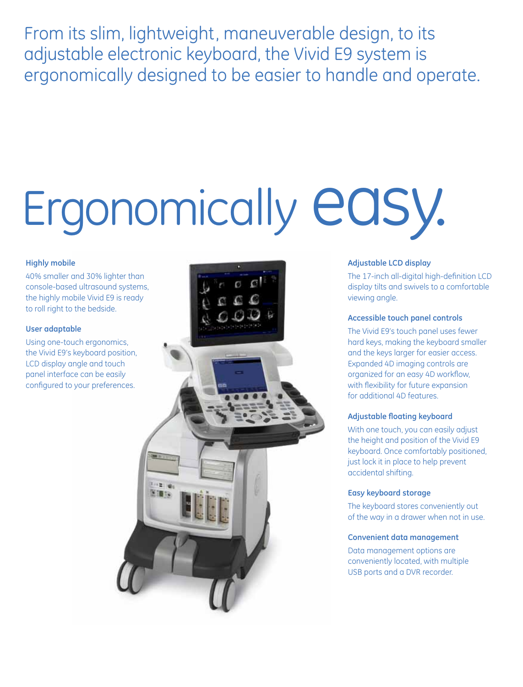From its slim, lightweight, maneuverable design, to its adjustable electronic keyboard, the Vivid E9 system is ergonomically designed to be easier to handle and operate.

# Ergonomically easy.

#### **Highly mobile**

40% smaller and 30% lighter than console-based ultrasound systems, the highly mobile Vivid E9 is ready to roll right to the bedside.

#### **User adaptable**

Using one-touch ergonomics, the Vivid E9's keyboard position, LCD display angle and touch panel interface can be easily configured to your preferences.

![](_page_7_Picture_6.jpeg)

#### **Adjustable LCD display**

The 17-inch all-digital high-definition LCD display tilts and swivels to a comfortable viewing angle.

#### **Accessible touch panel controls**

The Vivid E9's touch panel uses fewer hard keys, making the keyboard smaller and the keys larger for easier access. Expanded 4D imaging controls are organized for an easy 4D workflow, with flexibility for future expansion for additional 4D features.

#### **Adjustable floating keyboard**

With one touch, you can easily adjust the height and position of the Vivid E9 keyboard. Once comfortably positioned, just lock it in place to help prevent accidental shifting.

#### **Easy keyboard storage**

The keyboard stores conveniently out of the way in a drawer when not in use.

#### **Convenient data management**

Data management options are conveniently located, with multiple USB ports and a DVR recorder.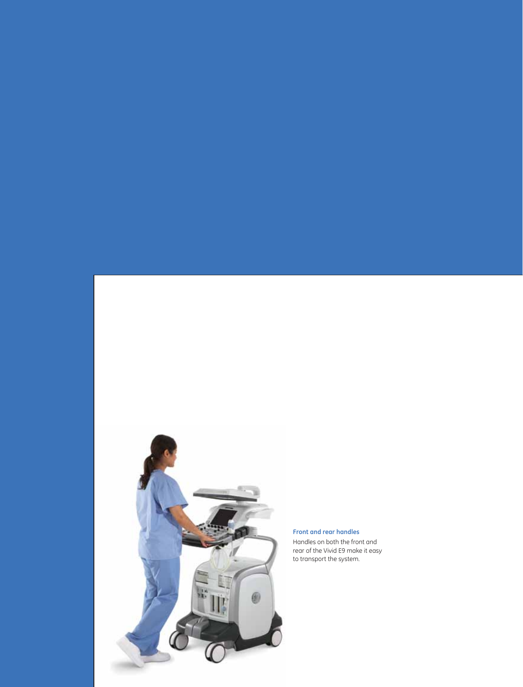![](_page_8_Picture_0.jpeg)

**Front and rear handles** Handles on both the front and rear of the Vivid E9 make it easy to transport the system.